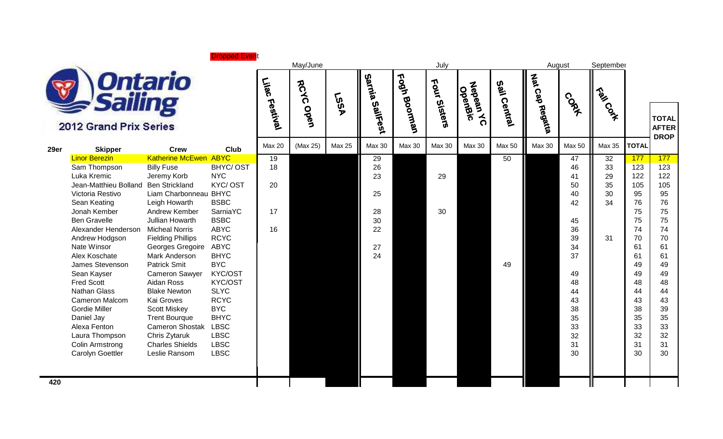**Dropped Event** 



2012 Grand Prix Series

| 29er | <b>Skipper</b>        | <b>Crew</b>              | <b>Club</b> | <b>Max 20</b> | (Max 25) | <b>Max 25</b> | <b>Max 30</b> | <b>Max 30</b> | <b>Max 30</b> | <b>Max 30</b> | <b>Max 50</b> | <b>Max 30</b> | Max 50 | Max 35 | <b>TOTAL</b> | <b>DRC</b> |
|------|-----------------------|--------------------------|-------------|---------------|----------|---------------|---------------|---------------|---------------|---------------|---------------|---------------|--------|--------|--------------|------------|
|      | <b>Linor Berezin</b>  | <b>Katherine McEwen</b>  | <b>ABYC</b> | 19            |          |               | 29            |               |               |               | 50            |               | 47     | 32     | 177          | 177        |
|      | Sam Thompson          | <b>Billy Fuse</b>        | BHYC/OST    | 18            |          |               | 26            |               |               |               |               |               | 46     | 33     | 123          | 12         |
|      | Luka Kremic           | Jeremy Korb              | <b>NYC</b>  |               |          |               | 23            |               | 29            |               |               |               | 41     | 29     | 122          | 122        |
|      | Jean-Matthieu Bolland | <b>Ben Strickland</b>    | KYC/OST     | 20            |          |               |               |               |               |               |               |               | 50     | 35     | 105          | 105        |
|      | Victoria Restivo      | Liam Charbonneau BHYC    |             |               |          |               | 25            |               |               |               |               |               | 40     | 30     | 95           | 95         |
|      | Sean Keating          | Leigh Howarth            | <b>BSBC</b> |               |          |               |               |               |               |               |               |               | 42     | 34     | 76           | 76         |
|      | Jonah Kember          | Andrew Kember            | SarniaYC    | 17            |          |               | 28            |               | 30            |               |               |               |        |        | 75           | 75         |
|      | <b>Ben Gravelle</b>   | Jullian Howarth          | <b>BSBC</b> |               |          |               | 30            |               |               |               |               |               | 45     |        | 75           | 75         |
|      | Alexander Henderson   | <b>Micheal Norris</b>    | <b>ABYC</b> | 16            |          |               | 22            |               |               |               |               |               | 36     |        | 74           | 74         |
|      | Andrew Hodgson        | <b>Fielding Phillips</b> | <b>RCYC</b> |               |          |               |               |               |               |               |               |               | 39     | 31     | 70           | 70         |
|      | Nate Winsor           | Georges Gregoire         | <b>ABYC</b> |               |          |               | 27            |               |               |               |               |               | 34     |        | 61           | 61         |
|      | Alex Koschate         | Mark Anderson            | <b>BHYC</b> |               |          |               | 24            |               |               |               |               |               | 37     |        | 61           | 61         |
|      | James Stevenson       | Patrick Smit             | <b>BYC</b>  |               |          |               |               |               |               |               | 49            |               |        |        | 49           | 49         |
|      | Sean Kayser           | <b>Cameron Sawyer</b>    | KYC/OST     |               |          |               |               |               |               |               |               |               | 49     |        | 49           | 49         |
|      | <b>Fred Scott</b>     | Aidan Ross               | KYC/OST     |               |          |               |               |               |               |               |               |               | 48     |        | 48           | 48         |
|      | <b>Nathan Glass</b>   | <b>Blake Newton</b>      | <b>SLYC</b> |               |          |               |               |               |               |               |               |               | 44     |        | 44           | 44         |
|      | Cameron Malcom        | Kai Groves               | <b>RCYC</b> |               |          |               |               |               |               |               |               |               | 43     |        | 43           | 43         |
|      | Gordie Miller         | <b>Scott Miskey</b>      | <b>BYC</b>  |               |          |               |               |               |               |               |               |               | 38     |        | 38           | 39         |
|      | Daniel Jay            | <b>Trent Bourque</b>     | <b>BHYC</b> |               |          |               |               |               |               |               |               |               | 35     |        | 35           | 35         |
|      | Alexa Fenton          | <b>Cameron Shostak</b>   | <b>LBSC</b> |               |          |               |               |               |               |               |               |               | 33     |        | 33           | 33         |
|      | Laura Thompson        | Chris Zytaruk            | <b>LBSC</b> |               |          |               |               |               |               |               |               |               | 32     |        | 32           | 32         |
|      | Colin Armstrong       | <b>Charles Shields</b>   | <b>LBSC</b> |               |          |               |               |               |               |               |               |               | 31     |        | 31           | 31         |
|      | Carolyn Goettler      | Leslie Ransom            | <b>LBSC</b> |               |          |               |               |               |               |               |               |               | 30     |        | 30           | 30         |
|      |                       |                          |             |               |          |               |               |               |               |               |               |               |        |        |              |            |

|        |                | May/June     |               |                    |                 | July            |                                         |                 |                | August        | September      |              |                            |
|--------|----------------|--------------|---------------|--------------------|-----------------|-----------------|-----------------------------------------|-----------------|----------------|---------------|----------------|--------------|----------------------------|
|        | Lilac Festival | RCYC<br>Open | <b>LSSA</b>   | Sarnia<br>SailFest | Fogh<br>Boorman | Four<br>Sisters | Nebean<br>OpenBic<br>$\mathbf{\hat{o}}$ | Sail<br>Central | Nat Cap Regata | <b>CORA</b>   | Train Contract |              | <b>TOTA</b><br><b>AFTE</b> |
| Club   | Max 20         | (Max 25)     | <b>Max 25</b> | <b>Max 30</b>      | <b>Max 30</b>   | <b>Max 30</b>   | <b>Max 30</b>                           | <b>Max 50</b>   | <b>Max 30</b>  | Max 50        | Max 35         | <b>TOTAL</b> | <b>DRO</b>                 |
| YC     | 19             |              |               | 29                 |                 |                 |                                         | 50              |                | 47            | 32             | 177          | 177                        |
| YC/OST | 18             |              |               | 26                 |                 |                 |                                         |                 |                | 46            | 33             | 123          | 123                        |
| C.     |                |              |               | 23                 |                 | 29              |                                         |                 |                | 41            | 29             | 122          | 122                        |
| C/OST  | 20             |              |               |                    |                 |                 |                                         |                 |                | 50            | 35             | 105          | 105                        |
| YC     |                |              |               | 25                 |                 |                 |                                         |                 |                | 40            | 30             | 95           | 95                         |
| ВC     |                |              |               |                    |                 |                 |                                         |                 |                | 42            | 34             | 76           | 76                         |
| miaYC  | 17             |              |               | 28                 |                 | 30              |                                         |                 |                |               |                | 75           | 75                         |
| ВC     |                |              |               | 30                 |                 |                 |                                         |                 |                | 45            |                | 75           | 75                         |
| $\sim$ |                |              |               | $\sim$ $\sim$      |                 |                 |                                         |                 |                | $\sim$ $\sim$ |                | $-1$         |                            |

 **TOTAL AFTER DROP**

**420**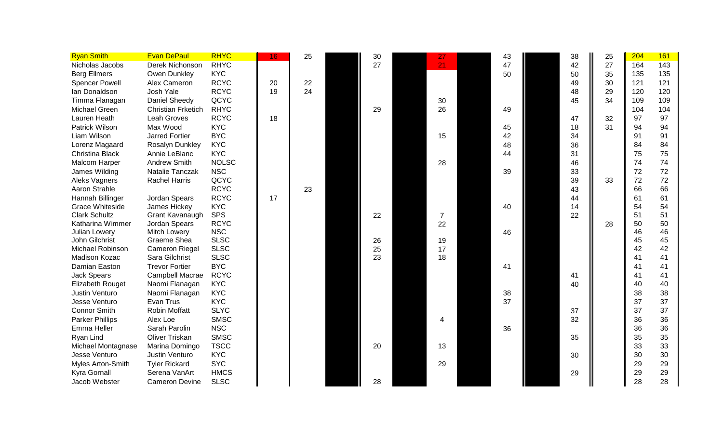| <b>Ryan Smith</b>       | <b>Evan DePaul</b>        | <b>RHYC</b>  | 16. | 25 | 30 | 27             | 43 | 38 | 25 | 204 | 161 |
|-------------------------|---------------------------|--------------|-----|----|----|----------------|----|----|----|-----|-----|
| Nicholas Jacobs         | Derek Nichonson           | <b>RHYC</b>  |     |    | 27 | 21             | 47 | 42 | 27 | 164 | 143 |
| <b>Berg Ellmers</b>     | Owen Dunkley              | <b>KYC</b>   |     |    |    |                | 50 | 50 | 35 | 135 | 135 |
| <b>Spencer Powell</b>   | Alex Cameron              | <b>RCYC</b>  | 20  | 22 |    |                |    | 49 | 30 | 121 | 121 |
| Ian Donaldson           | Josh Yale                 | <b>RCYC</b>  | 19  | 24 |    |                |    | 48 | 29 | 120 | 120 |
| Timma Flanagan          | Daniel Sheedy             | QCYC         |     |    |    | 30             |    | 45 | 34 | 109 | 109 |
| Michael Green           | <b>Christian Frketich</b> | <b>RHYC</b>  |     |    | 29 | 26             | 49 |    |    | 104 | 104 |
| Lauren Heath            | <b>Leah Groves</b>        | <b>RCYC</b>  | 18  |    |    |                |    | 47 | 32 | 97  | 97  |
| Patrick Wilson          | Max Wood                  | <b>KYC</b>   |     |    |    |                | 45 | 18 | 31 | 94  | 94  |
| Liam Wilson             | <b>Jarred Fortier</b>     | <b>BYC</b>   |     |    |    | 15             | 42 | 34 |    | 91  | 91  |
| Lorenz Magaard          | Rosalyn Dunkley           | <b>KYC</b>   |     |    |    |                | 48 | 36 |    | 84  | 84  |
| <b>Christina Black</b>  | Annie LeBlanc             | <b>KYC</b>   |     |    |    |                | 44 | 31 |    | 75  | 75  |
| <b>Malcom Harper</b>    | <b>Andrew Smith</b>       | <b>NOLSC</b> |     |    |    | 28             |    | 46 |    | 74  | 74  |
| James Wilding           | Natalie Tanczak           | <b>NSC</b>   |     |    |    |                | 39 | 33 |    | 72  | 72  |
| Aleks Vagners           | <b>Rachel Harris</b>      | QCYC         |     |    |    |                |    | 39 | 33 | 72  | 72  |
| Aaron Strahle           |                           | <b>RCYC</b>  |     | 23 |    |                |    | 43 |    | 66  | 66  |
| Hannah Billinger        | Jordan Spears             | <b>RCYC</b>  | 17  |    |    |                |    | 44 |    | 61  | 61  |
| <b>Grace Whiteside</b>  | James Hickey              | <b>KYC</b>   |     |    |    |                | 40 | 14 |    | 54  | 54  |
| <b>Clark Schultz</b>    | Grant Kavanaugh           | <b>SPS</b>   |     |    | 22 | $\overline{7}$ |    | 22 |    | 51  | 51  |
| Katharina Wimmer        | Jordan Spears             | <b>RCYC</b>  |     |    |    | 22             |    |    | 28 | 50  | 50  |
| Julian Lowery           | <b>Mitch Lowery</b>       | <b>NSC</b>   |     |    |    |                | 46 |    |    | 46  | 46  |
| John Gilchrist          | Graeme Shea               | <b>SLSC</b>  |     |    | 26 | 19             |    |    |    | 45  | 45  |
| Michael Robinson        | Cameron Riegel            | <b>SLSC</b>  |     |    | 25 | 17             |    |    |    | 42  | 42  |
| Madison Kozac           | Sara Gilchrist            | <b>SLSC</b>  |     |    | 23 | 18             |    |    |    | 41  | 41  |
| Damian Easton           | <b>Trevor Fortier</b>     | <b>BYC</b>   |     |    |    |                | 41 |    |    | 41  | 41  |
| <b>Jack Spears</b>      | Campbell Macrae           | <b>RCYC</b>  |     |    |    |                |    | 41 |    | 41  | 41  |
| <b>Elizabeth Rouget</b> | Naomi Flanagan            | <b>KYC</b>   |     |    |    |                |    | 40 |    | 40  | 40  |
| Justin Venturo          | Naomi Flanagan            | <b>KYC</b>   |     |    |    |                | 38 |    |    | 38  | 38  |
| Jesse Venturo           | Evan Trus                 | <b>KYC</b>   |     |    |    |                | 37 |    |    | 37  | 37  |
| <b>Connor Smith</b>     | <b>Robin Moffatt</b>      | <b>SLYC</b>  |     |    |    |                |    | 37 |    | 37  | 37  |
| <b>Parker Phillips</b>  | Alex Loe                  | <b>SMSC</b>  |     |    |    | 4              |    | 32 |    | 36  | 36  |
| Emma Heller             | Sarah Parolin             | <b>NSC</b>   |     |    |    |                | 36 |    |    | 36  | 36  |
| Ryan Lind               | Oliver Triskan            | <b>SMSC</b>  |     |    |    |                |    | 35 |    | 35  | 35  |
| Michael Montagnase      | Marina Domingo            | <b>TSCC</b>  |     |    | 20 | 13             |    |    |    | 33  | 33  |
| Jesse Venturo           | Justin Venturo            | <b>KYC</b>   |     |    |    |                |    | 30 |    | 30  | 30  |
| Myles Arton-Smith       | <b>Tyler Rickard</b>      | <b>SYC</b>   |     |    |    | 29             |    |    |    | 29  | 29  |
| Kyra Gornall            | Serena VanArt             | <b>HMCS</b>  |     |    |    |                |    | 29 |    | 29  | 29  |
| Jacob Webster           | <b>Cameron Devine</b>     | <b>SLSC</b>  |     |    | 28 |                |    |    |    | 28  | 28  |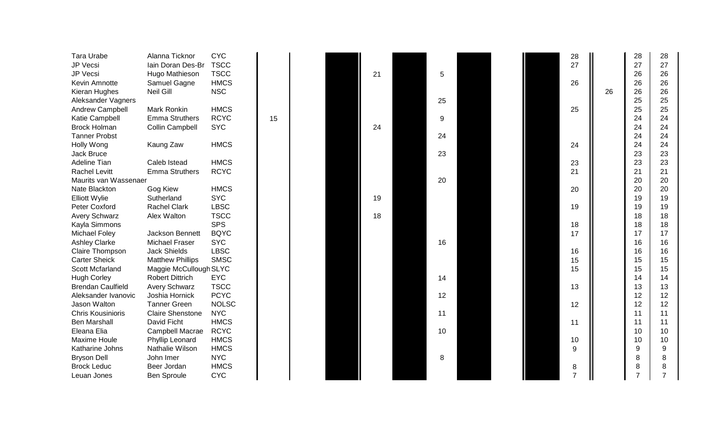| Tara Urabe               | Alanna Ticknor          | <b>CYC</b>   |    |  |    |                 |  | 28             |    | 28             | 28 |
|--------------------------|-------------------------|--------------|----|--|----|-----------------|--|----------------|----|----------------|----|
| JP Vecsi                 | lain Doran Des-Br       | <b>TSCC</b>  |    |  |    |                 |  | 27             |    | 27             | 27 |
| JP Vecsi                 | Hugo Mathieson          | <b>TSCC</b>  |    |  | 21 | 5               |  |                |    | 26             | 26 |
| Kevin Amnotte            | Samuel Gagne            | <b>HMCS</b>  |    |  |    |                 |  | 26             |    | 26             | 26 |
| Kieran Hughes            | Neil Gill               | <b>NSC</b>   |    |  |    |                 |  |                | 26 | 26             | 26 |
| Aleksander Vagners       |                         |              |    |  |    | 25              |  |                |    | 25             | 25 |
| Andrew Campbell          | Mark Ronkin             | <b>HMCS</b>  |    |  |    |                 |  | 25             |    | 25             | 25 |
| Katie Campbell           | <b>Emma Struthers</b>   | <b>RCYC</b>  | 15 |  |    | 9               |  |                |    | 24             | 24 |
| <b>Brock Holman</b>      | Collin Campbell         | <b>SYC</b>   |    |  | 24 |                 |  |                |    | 24             | 24 |
| <b>Tanner Probst</b>     |                         |              |    |  |    | 24              |  |                |    | 24             | 24 |
| Holly Wong               | Kaung Zaw               | <b>HMCS</b>  |    |  |    |                 |  | 24             |    | 24             | 24 |
| Jack Bruce               |                         |              |    |  |    | 23              |  |                |    | 23             | 23 |
| Adeline Tian             | Caleb Istead            | <b>HMCS</b>  |    |  |    |                 |  | 23             |    | 23             | 23 |
| <b>Rachel Levitt</b>     | <b>Emma Struthers</b>   | <b>RCYC</b>  |    |  |    |                 |  | 21             |    | 21             | 21 |
| Maurits van Wassenaer    |                         |              |    |  |    | 20              |  |                |    | 20             | 20 |
| Nate Blackton            | Gog Kiew                | <b>HMCS</b>  |    |  |    |                 |  | 20             |    | 20             | 20 |
| Elliott Wylie            | Sutherland              | <b>SYC</b>   |    |  | 19 |                 |  |                |    | 19             | 19 |
| Peter Coxford            | <b>Rachel Clark</b>     | <b>LBSC</b>  |    |  |    |                 |  | 19             |    | 19             | 19 |
| Avery Schwarz            | Alex Walton             | <b>TSCC</b>  |    |  | 18 |                 |  |                |    | 18             | 18 |
| Kayla Simmons            |                         | <b>SPS</b>   |    |  |    |                 |  | 18             |    | 18             | 18 |
| <b>Michael Foley</b>     | Jackson Bennett         | <b>BQYC</b>  |    |  |    |                 |  | 17             |    | 17             | 17 |
| <b>Ashley Clarke</b>     | <b>Michael Fraser</b>   | <b>SYC</b>   |    |  |    | 16              |  |                |    | 16             | 16 |
| Claire Thompson          | <b>Jack Shields</b>     | <b>LBSC</b>  |    |  |    |                 |  | 16             |    | 16             | 16 |
| <b>Carter Sheick</b>     | <b>Matthew Phillips</b> | <b>SMSC</b>  |    |  |    |                 |  | 15             |    | 15             | 15 |
| Scott Mcfarland          | Maggie McCullough SLYC  |              |    |  |    |                 |  | 15             |    | 15             | 15 |
| <b>Hugh Corley</b>       | <b>Robert Dittrich</b>  | <b>EYC</b>   |    |  |    | 14              |  |                |    | 14             | 14 |
| <b>Brendan Caulfield</b> | <b>Avery Schwarz</b>    | <b>TSCC</b>  |    |  |    |                 |  | 13             |    | 13             | 13 |
| Aleksander Ivanovic      | Joshia Hornick          | <b>PCYC</b>  |    |  |    | 12              |  |                |    | 12             | 12 |
| Jason Walton             | <b>Tanner Green</b>     | <b>NOLSC</b> |    |  |    |                 |  | 12             |    | 12             | 12 |
| <b>Chris Kousinioris</b> | <b>Claire Shenstone</b> | <b>NYC</b>   |    |  |    | 11              |  |                |    | 11             | 11 |
| <b>Ben Marshall</b>      | David Ficht             | <b>HMCS</b>  |    |  |    |                 |  | 11             |    | 11             | 11 |
| Eleana Elia              | Campbell Macrae         | <b>RCYC</b>  |    |  |    | 10 <sup>°</sup> |  |                |    | 10             | 10 |
| <b>Maxime Houle</b>      | Phyllip Leonard         | <b>HMCS</b>  |    |  |    |                 |  | 10             |    | 10             | 10 |
| Katharine Johns          | Nathalie Wilson         | <b>HMCS</b>  |    |  |    |                 |  | 9              |    | 9              | 9  |
| <b>Bryson Dell</b>       | John Imer               | <b>NYC</b>   |    |  |    | 8               |  |                |    | 8              | 8  |
| <b>Brock Leduc</b>       | Beer Jordan             | <b>HMCS</b>  |    |  |    |                 |  | 8              |    | 8              | 8  |
| Leuan Jones              | Ben Sproule             | <b>CYC</b>   |    |  |    |                 |  | $\overline{7}$ |    | $\overline{7}$ |    |
|                          |                         |              |    |  |    |                 |  |                |    |                |    |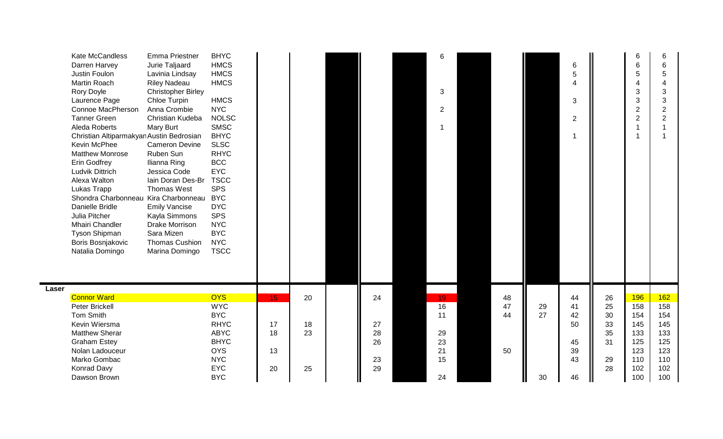|       | Kate McCandless<br>Darren Harvey<br>Justin Foulon<br>Martin Roach<br>Rory Doyle<br>Laurence Page<br>Connoe MacPherson<br><b>Tanner Green</b><br>Aleda Roberts<br>Christian Altiparmakyan Austin Bedrosian<br>Kevin McPhee<br><b>Matthew Monrose</b><br><b>Erin Godfrey</b><br>Ludvik Dittrich<br>Alexa Walton<br>Lukas Trapp<br>Shondra Charbonneau Kira Charbonneau BYC<br>Danielle Bridle<br>Julia Pitcher<br>Mhairi Chandler<br>Tyson Shipman<br>Boris Bosnjakovic<br>Natalia Domingo | <b>Emma Priestner</b><br>Jurie Taljaard<br>Lavinia Lindsay<br><b>Riley Nadeau</b><br><b>Christopher Birley</b><br>Chloe Turpin<br>Anna Crombie<br>Christian Kudeba<br>Mary Burt<br><b>Cameron Devine</b><br>Ruben Sun<br>Ilianna Ring<br>Jessica Code<br>lain Doran Des-Br<br><b>Thomas West</b><br><b>Emily Vancise</b><br>Kayla Simmons<br><b>Drake Morrison</b><br>Sara Mizen<br><b>Thomas Cushion</b><br>Marina Domingo | <b>BHYC</b><br><b>HMCS</b><br><b>HMCS</b><br><b>HMCS</b><br><b>HMCS</b><br><b>NYC</b><br><b>NOLSC</b><br><b>SMSC</b><br><b>BHYC</b><br><b>SLSC</b><br><b>RHYC</b><br><b>BCC</b><br><b>EYC</b><br><b>TSCC</b><br><b>SPS</b><br><b>DYC</b><br><b>SPS</b><br><b>NYC</b><br><b>BYC</b><br><b>NYC</b><br><b>TSCC</b> |    |    |          | 6<br>3<br>2           |          |    | $6\phantom{1}6$<br>5<br>$\boldsymbol{\Delta}$<br>$\mathbf{3}$<br>$\sqrt{2}$<br>1 |          | 6<br>$6\phantom{1}6$<br>5<br>$\overline{4}$<br>3<br>3<br>$\overline{2}$<br>$\overline{2}$<br>$\overline{1}$<br>$\overline{1}$ | $\,6$<br>$\,6$<br>5<br>$\overline{4}$<br>3<br>$\mathbf{3}$<br>$\overline{2}$<br>$\overline{2}$<br>$\overline{1}$<br>$\overline{1}$ |
|-------|------------------------------------------------------------------------------------------------------------------------------------------------------------------------------------------------------------------------------------------------------------------------------------------------------------------------------------------------------------------------------------------------------------------------------------------------------------------------------------------|-----------------------------------------------------------------------------------------------------------------------------------------------------------------------------------------------------------------------------------------------------------------------------------------------------------------------------------------------------------------------------------------------------------------------------|-----------------------------------------------------------------------------------------------------------------------------------------------------------------------------------------------------------------------------------------------------------------------------------------------------------------|----|----|----------|-----------------------|----------|----|----------------------------------------------------------------------------------|----------|-------------------------------------------------------------------------------------------------------------------------------|------------------------------------------------------------------------------------------------------------------------------------|
| Laser | <b>Connor Ward</b>                                                                                                                                                                                                                                                                                                                                                                                                                                                                       |                                                                                                                                                                                                                                                                                                                                                                                                                             |                                                                                                                                                                                                                                                                                                                 |    |    |          |                       |          |    |                                                                                  |          |                                                                                                                               |                                                                                                                                    |
|       | Peter Brickell                                                                                                                                                                                                                                                                                                                                                                                                                                                                           |                                                                                                                                                                                                                                                                                                                                                                                                                             | <b>OYS</b><br><b>WYC</b>                                                                                                                                                                                                                                                                                        | 15 | 20 | 24       | 19<br>$\overline{16}$ | 48<br>47 | 29 | 44<br>41                                                                         | 26<br>25 | 196<br>158                                                                                                                    | 162<br>158                                                                                                                         |
|       | Tom Smith                                                                                                                                                                                                                                                                                                                                                                                                                                                                                |                                                                                                                                                                                                                                                                                                                                                                                                                             | <b>BYC</b>                                                                                                                                                                                                                                                                                                      |    |    |          | 11                    | 44       | 27 | 42                                                                               | 30       | 154                                                                                                                           | 154                                                                                                                                |
|       | Kevin Wiersma                                                                                                                                                                                                                                                                                                                                                                                                                                                                            |                                                                                                                                                                                                                                                                                                                                                                                                                             | <b>RHYC</b>                                                                                                                                                                                                                                                                                                     | 17 | 18 | 27       |                       |          |    | 50                                                                               | 33       | 145                                                                                                                           | 145                                                                                                                                |
|       | <b>Matthew Sherar</b><br><b>Graham Estey</b>                                                                                                                                                                                                                                                                                                                                                                                                                                             |                                                                                                                                                                                                                                                                                                                                                                                                                             | <b>ABYC</b><br><b>BHYC</b>                                                                                                                                                                                                                                                                                      | 18 | 23 | 28<br>26 | 29<br>23              |          |    | 45                                                                               | 35<br>31 | 133<br>125                                                                                                                    | 133<br>125                                                                                                                         |
|       | Nolan Ladouceur                                                                                                                                                                                                                                                                                                                                                                                                                                                                          |                                                                                                                                                                                                                                                                                                                                                                                                                             | <b>OYS</b>                                                                                                                                                                                                                                                                                                      | 13 |    |          | 21                    | 50       |    | 39                                                                               |          | 123                                                                                                                           | 123                                                                                                                                |
|       | Marko Gombac                                                                                                                                                                                                                                                                                                                                                                                                                                                                             |                                                                                                                                                                                                                                                                                                                                                                                                                             | <b>NYC</b>                                                                                                                                                                                                                                                                                                      |    |    | 23       | 15                    |          |    | 43                                                                               | 29       | 110                                                                                                                           | 110                                                                                                                                |
|       | Konrad Davy                                                                                                                                                                                                                                                                                                                                                                                                                                                                              |                                                                                                                                                                                                                                                                                                                                                                                                                             | <b>EYC</b>                                                                                                                                                                                                                                                                                                      | 20 | 25 | 29       |                       |          |    |                                                                                  | 28       | 102                                                                                                                           | 102                                                                                                                                |
|       | Dawson Brown                                                                                                                                                                                                                                                                                                                                                                                                                                                                             |                                                                                                                                                                                                                                                                                                                                                                                                                             | <b>BYC</b>                                                                                                                                                                                                                                                                                                      |    |    |          | 24                    |          | 30 | 46                                                                               |          | 100                                                                                                                           | 100                                                                                                                                |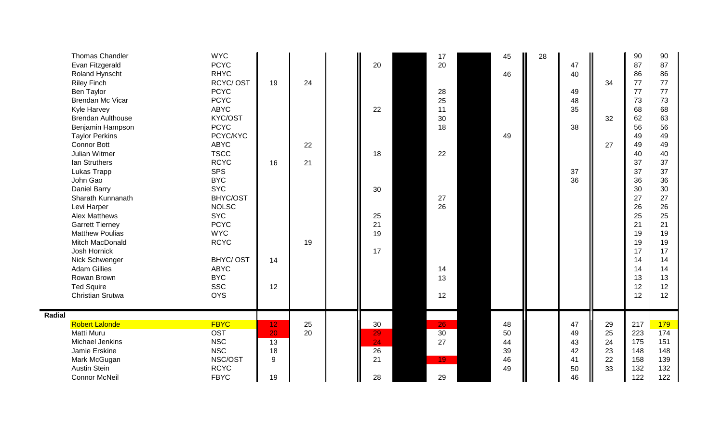| Thomas Chandler<br>Evan Fitzgerald<br>Roland Hynscht<br><b>Riley Finch</b><br>Ben Taylor<br><b>Brendan Mc Vicar</b><br>Kyle Harvey<br><b>Brendan Aulthouse</b><br>Benjamin Hampson<br><b>Taylor Perkins</b><br><b>Connor Bott</b><br>Julian Witmer<br>Ian Struthers<br>Lukas Trapp<br>John Gao<br>Daniel Barry<br>Sharath Kunnanath<br>Levi Harper<br><b>Alex Matthews</b><br><b>Garrett Tierney</b><br><b>Matthew Poulias</b><br>Mitch MacDonald<br>Josh Hornick<br>Nick Schwenger<br><b>Adam Gillies</b><br>Rowan Brown<br><b>Ted Squire</b><br>Christian Srutwa | <b>WYC</b><br><b>PCYC</b><br><b>RHYC</b><br>RCYC/OST<br><b>PCYC</b><br><b>PCYC</b><br><b>ABYC</b><br>KYC/OST<br><b>PCYC</b><br>PCYC/KYC<br><b>ABYC</b><br><b>TSCC</b><br><b>RCYC</b><br><b>SPS</b><br><b>BYC</b><br><b>SYC</b><br>BHYC/OST<br><b>NOLSC</b><br><b>SYC</b><br><b>PCYC</b><br><b>WYC</b><br><b>RCYC</b><br><b>BHYC/OST</b><br><b>ABYC</b><br><b>BYC</b><br><b>SSC</b><br><b>OYS</b> | 19<br>16<br>14<br>12                         | 24<br>22<br>21<br>19 | 20<br>22<br>18<br>30<br>25<br>21<br>19<br>17 | 17<br>20<br>28<br>25<br>11<br>30<br>18<br>22<br>27<br>26<br>14<br>13<br>12 | 45<br>46<br>49                   | 28 | 47<br>40<br>49<br>48<br>35<br>38<br>37<br>36 | 34<br>32<br>27                   | 90<br>87<br>86<br>77<br>77<br>73<br>68<br>62<br>56<br>49<br>49<br>40<br>37<br>37<br>36<br>30<br>27<br>26<br>25<br>21<br>19<br>19<br>17<br>14<br>14<br>13<br>12<br>12 | 90<br>87<br>86<br>77<br>77<br>73<br>68<br>63<br>56<br>49<br>49<br>40<br>37<br>37<br>36<br>30<br>27<br>26<br>25<br>21<br>19<br>19<br>17<br>14<br>14<br>13<br>12<br>12 |
|--------------------------------------------------------------------------------------------------------------------------------------------------------------------------------------------------------------------------------------------------------------------------------------------------------------------------------------------------------------------------------------------------------------------------------------------------------------------------------------------------------------------------------------------------------------------|--------------------------------------------------------------------------------------------------------------------------------------------------------------------------------------------------------------------------------------------------------------------------------------------------------------------------------------------------------------------------------------------------|----------------------------------------------|----------------------|----------------------------------------------|----------------------------------------------------------------------------|----------------------------------|----|----------------------------------------------|----------------------------------|----------------------------------------------------------------------------------------------------------------------------------------------------------------------|----------------------------------------------------------------------------------------------------------------------------------------------------------------------|
| Radial<br><b>Robert Lalonde</b><br>Matti Muru<br>Michael Jenkins<br>Jamie Erskine<br>Mark McGugan<br><b>Austin Stein</b><br><b>Connor McNeil</b>                                                                                                                                                                                                                                                                                                                                                                                                                   | <b>FBYC</b><br><b>OST</b><br><b>NSC</b><br><b>NSC</b><br>NSC/OST<br><b>RCYC</b><br><b>FBYC</b>                                                                                                                                                                                                                                                                                                   | 12 <sub>1</sub><br>20<br>13<br>18<br>9<br>19 | 25<br>20             | 30<br>29<br>24<br>26<br>21<br>28             | 26<br>30<br>27<br>19<br>29                                                 | 48<br>50<br>44<br>39<br>46<br>49 |    | 47<br>49<br>43<br>42<br>41<br>50<br>46       | 29<br>25<br>24<br>23<br>22<br>33 | 217<br>223<br>175<br>148<br>158<br>132<br>122                                                                                                                        | 179<br>174<br>151<br>148<br>139<br>132<br>122                                                                                                                        |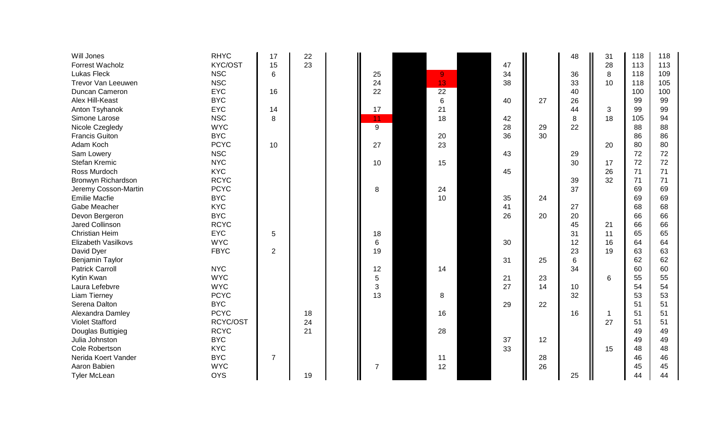| Will Jones                 | <b>RHYC</b> | 17             | 22 |                 |                |    |    | 48             | 31 | 118 | 118 |
|----------------------------|-------------|----------------|----|-----------------|----------------|----|----|----------------|----|-----|-----|
| Forrest Wacholz            | KYC/OST     | 15             | 23 |                 |                | 47 |    |                | 28 | 113 | 113 |
| <b>Lukas Fleck</b>         | <b>NSC</b>  | 6              |    | 25              | $\overline{9}$ | 34 |    | 36             | 8  | 118 | 109 |
| Trevor Van Leeuwen         | <b>NSC</b>  |                |    | 24              | 13             | 38 |    | 33             | 10 | 118 | 105 |
| Duncan Cameron             | <b>EYC</b>  | 16             |    | 22              | 22             |    |    | 40             |    | 100 | 100 |
| Alex Hill-Keast            | <b>BYC</b>  |                |    |                 | $\,6$          | 40 | 27 | 26             |    | 99  | 99  |
| Anton Tsyhanok             | <b>EYC</b>  | 14             |    | 17              | 21             |    |    | 44             | 3  | 99  | 99  |
| Simone Larose              | <b>NSC</b>  | 8              |    | 11              | 18             | 42 |    | 8              | 18 | 105 | 94  |
| Nicole Czegledy            | <b>WYC</b>  |                |    | 9               |                | 28 | 29 | 22             |    | 88  | 88  |
| <b>Francis Guiton</b>      | <b>BYC</b>  |                |    |                 | 20             | 36 | 30 |                |    | 86  | 86  |
| Adam Koch                  | <b>PCYC</b> | 10             |    | 27              | 23             |    |    |                | 20 | 80  | 80  |
| Sam Lowery                 | <b>NSC</b>  |                |    |                 |                | 43 |    | 29             |    | 72  | 72  |
| Stefan Kremic              | <b>NYC</b>  |                |    | 10              | 15             |    |    | 30             | 17 | 72  | 72  |
| Ross Murdoch               | <b>KYC</b>  |                |    |                 |                | 45 |    |                | 26 | 71  | 71  |
| Bronwyn Richardson         | <b>RCYC</b> |                |    |                 |                |    |    | 39             | 32 | 71  | 71  |
| Jeremy Cosson-Martin       | <b>PCYC</b> |                |    | 8               | 24             |    |    | 37             |    | 69  | 69  |
| <b>Emilie Macfie</b>       | <b>BYC</b>  |                |    |                 | 10             | 35 | 24 |                |    | 69  | 69  |
| Gabe Meacher               | <b>KYC</b>  |                |    |                 |                | 41 |    | 27             |    | 68  | 68  |
| Devon Bergeron             | <b>BYC</b>  |                |    |                 |                | 26 | 20 | 20             |    | 66  | 66  |
| <b>Jared Collinson</b>     | <b>RCYC</b> |                |    |                 |                |    |    | 45             | 21 | 66  | 66  |
| <b>Christian Heim</b>      | <b>EYC</b>  | 5              |    | 18              |                |    |    | 31             | 11 | 65  | 65  |
| <b>Elizabeth Vasilkovs</b> | <b>WYC</b>  |                |    | $6\phantom{1}6$ |                | 30 |    | 12             | 16 | 64  | 64  |
| David Dyer                 | <b>FBYC</b> | 2              |    | 19              |                |    |    | 23             | 19 | 63  | 63  |
| Benjamin Taylor            |             |                |    |                 |                | 31 | 25 | $6\phantom{1}$ |    | 62  | 62  |
| <b>Patrick Carroll</b>     | <b>NYC</b>  |                |    | 12              | 14             |    |    | 34             |    | 60  | 60  |
| Kytin Kwan                 | <b>WYC</b>  |                |    | 5               |                | 21 | 23 |                | 6  | 55  | 55  |
| Laura Lefebvre             | <b>WYC</b>  |                |    | 3               |                | 27 | 14 | 10             |    | 54  | 54  |
| Liam Tierney               | <b>PCYC</b> |                |    | 13              | 8              |    |    | 32             |    | 53  | 53  |
| Serena Dalton              | <b>BYC</b>  |                |    |                 |                | 29 | 22 |                |    | 51  | 51  |
| Alexandra Damley           | <b>PCYC</b> |                | 18 |                 | 16             |    |    | 16             | 1  | 51  | 51  |
| <b>Violet Stafford</b>     | RCYC/OST    |                | 24 |                 |                |    |    |                | 27 | 51  | 51  |
| Douglas Buttigieg          | <b>RCYC</b> |                | 21 |                 | 28             |    |    |                |    | 49  | 49  |
| Julia Johnston             | <b>BYC</b>  |                |    |                 |                | 37 | 12 |                |    | 49  | 49  |
| Cole Robertson             | <b>KYC</b>  |                |    |                 |                | 33 |    |                | 15 | 48  | 48  |
| Nerida Koert Vander        | <b>BYC</b>  | $\overline{7}$ |    |                 | 11             |    | 28 |                |    | 46  | 46  |
| Aaron Babien               | <b>WYC</b>  |                |    | $\overline{7}$  | 12             |    | 26 |                |    | 45  | 45  |
| <b>Tyler McLean</b>        | <b>OYS</b>  |                | 19 |                 |                |    |    | 25             |    | 44  | 44  |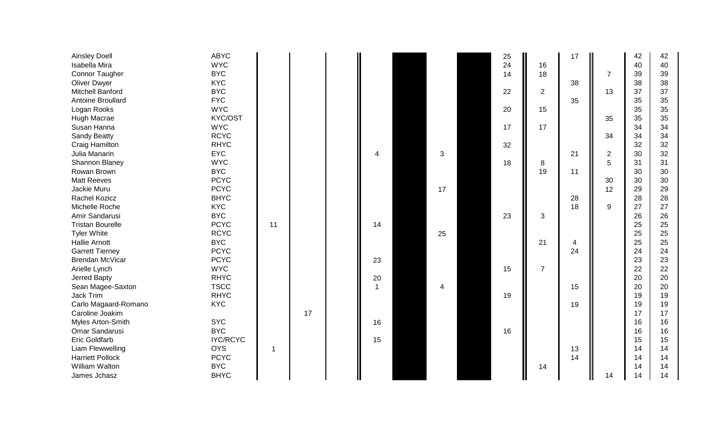| <b>Ainsley Doell</b>    | <b>ABYC</b>     |    |    |                |                | 25 |                | 17 |                | 42 | 42 |
|-------------------------|-----------------|----|----|----------------|----------------|----|----------------|----|----------------|----|----|
| Isabella Mira           | <b>WYC</b>      |    |    |                |                | 24 | 16             |    |                | 40 | 40 |
| <b>Connor Taugher</b>   | <b>BYC</b>      |    |    |                |                | 14 | 18             |    | $\overline{7}$ | 39 | 39 |
| <b>Oliver Dwyer</b>     | <b>KYC</b>      |    |    |                |                |    |                | 38 |                | 38 | 38 |
| Mitchell Banford        | <b>BYC</b>      |    |    |                |                | 22 | $\overline{2}$ |    | 13             | 37 | 37 |
| Antoine Broullard       | <b>FYC</b>      |    |    |                |                |    |                | 35 |                | 35 | 35 |
| Logan Rooks             | <b>WYC</b>      |    |    |                |                | 20 | 15             |    |                | 35 | 35 |
| Hugh Macrae             | KYC/OST         |    |    |                |                |    |                |    | 35             | 35 | 35 |
| Susan Hanna             | <b>WYC</b>      |    |    |                |                | 17 | 17             |    |                | 34 | 34 |
| <b>Sandy Beatty</b>     | <b>RCYC</b>     |    |    |                |                |    |                |    | 34             | 34 | 34 |
| Craig Hamilton          | <b>RHYC</b>     |    |    |                |                | 32 |                |    |                | 32 | 32 |
| Julia Manarin           | <b>EYC</b>      |    |    | Δ              | 3              |    |                | 21 | $\overline{2}$ | 30 | 32 |
| Shannon Blaney          | <b>WYC</b>      |    |    |                |                | 18 | 8              |    | 5              | 31 | 31 |
| Rowan Brown             | <b>BYC</b>      |    |    |                |                |    | 19             | 11 |                | 30 | 30 |
| <b>Matt Reeves</b>      | <b>PCYC</b>     |    |    |                |                |    |                |    | 30             | 30 | 30 |
| Jackie Muru             | <b>PCYC</b>     |    |    |                | 17             |    |                |    | 12             | 29 | 29 |
| Rachel Kozicz           | <b>BHYC</b>     |    |    |                |                |    |                | 28 |                | 28 | 28 |
| Michelle Roche          | <b>KYC</b>      |    |    |                |                |    |                | 18 | 9              | 27 | 27 |
| Amir Sandarusi          | <b>BYC</b>      |    |    |                |                | 23 | 3              |    |                | 26 | 26 |
| <b>Tristan Bourelle</b> | <b>PCYC</b>     | 11 |    | 14             |                |    |                |    |                | 25 | 25 |
| <b>Tyler White</b>      | <b>RCYC</b>     |    |    |                | 25             |    |                |    |                | 25 | 25 |
| <b>Hallie Arnott</b>    | <b>BYC</b>      |    |    |                |                |    | 21             | 4  |                | 25 | 25 |
| <b>Garrett Tierney</b>  | <b>PCYC</b>     |    |    |                |                |    |                | 24 |                | 24 | 24 |
| Brendan McVicar         | <b>PCYC</b>     |    |    | 23             |                |    |                |    |                | 23 | 23 |
| Arielle Lynch           | <b>WYC</b>      |    |    |                |                | 15 | $\overline{7}$ |    |                | 22 | 22 |
| Jerred Bapty            | <b>RHYC</b>     |    |    | 20             |                |    |                |    |                | 20 | 20 |
| Sean Magee-Saxton       | <b>TSCC</b>     |    |    | $\overline{1}$ | $\overline{4}$ |    |                | 15 |                | 20 | 20 |
| Jack Trim               | <b>RHYC</b>     |    |    |                |                | 19 |                |    |                | 19 | 19 |
| Carlo Magaard-Romano    | <b>KYC</b>      |    |    |                |                |    |                | 19 |                | 19 | 19 |
| Caroline Joakim         |                 |    | 17 |                |                |    |                |    |                | 17 | 17 |
| Myles Arton-Smith       | <b>SYC</b>      |    |    | 16             |                |    |                |    |                | 16 | 16 |
| Omar Sandarusi          | <b>BYC</b>      |    |    |                |                | 16 |                |    |                | 16 | 16 |
| <b>Eric Goldfarb</b>    | <b>IYC/RCYC</b> |    |    | 15             |                |    |                |    |                | 15 | 15 |
| Liam Flewwelling        | <b>OYS</b>      | 1  |    |                |                |    |                | 13 |                | 14 | 14 |
| <b>Harriett Pollock</b> | <b>PCYC</b>     |    |    |                |                |    |                | 14 |                | 14 | 14 |
| William Walton          | <b>BYC</b>      |    |    |                |                |    | 14             |    |                | 14 | 14 |
| James Jchasz            | <b>BHYC</b>     |    |    |                |                |    |                |    | 14             | 14 | 14 |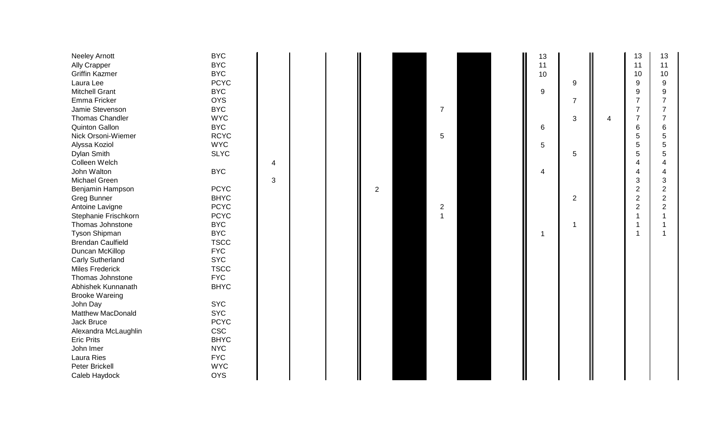| Neeley Arnott<br><b>Ally Crapper</b><br><b>Griffin Kazmer</b><br>Laura Lee<br><b>Mitchell Grant</b><br>Emma Fricker<br>Jamie Stevenson<br><b>Thomas Chandler</b><br><b>Quinton Gallon</b><br>Nick Orsoni-Wiemer<br>Alyssa Koziol | <b>BYC</b><br><b>BYC</b><br><b>BYC</b><br><b>PCYC</b><br><b>BYC</b><br><b>OYS</b><br><b>BYC</b><br><b>WYC</b><br><b>BYC</b><br><b>RCYC</b><br><b>WYC</b> |   |  |                | $\overline{7}$<br>5            |  | 13<br>11<br>10<br>9<br>6<br>5 | 9<br>$\overline{7}$<br>3 | 4 | 13<br>11<br>10<br>9<br>9<br>$\overline{7}$<br>$\overline{7}$<br>$\overline{7}$<br>$6\phantom{1}6$<br>5<br>5 | 13<br>11<br>10<br>9<br>9<br>7<br>6<br>5<br>5 |
|----------------------------------------------------------------------------------------------------------------------------------------------------------------------------------------------------------------------------------|----------------------------------------------------------------------------------------------------------------------------------------------------------|---|--|----------------|--------------------------------|--|-------------------------------|--------------------------|---|-------------------------------------------------------------------------------------------------------------|----------------------------------------------|
| Dylan Smith                                                                                                                                                                                                                      | <b>SLYC</b>                                                                                                                                              |   |  |                |                                |  |                               | 5                        |   | 5<br>$\overline{4}$                                                                                         | 5                                            |
| Colleen Welch                                                                                                                                                                                                                    |                                                                                                                                                          | 4 |  |                |                                |  |                               |                          |   | $\boldsymbol{4}$                                                                                            |                                              |
| John Walton<br>Michael Green                                                                                                                                                                                                     | <b>BYC</b>                                                                                                                                               |   |  |                |                                |  | 4                             |                          |   |                                                                                                             | 4                                            |
|                                                                                                                                                                                                                                  | <b>PCYC</b>                                                                                                                                              | 3 |  |                |                                |  |                               |                          |   | 3                                                                                                           | 3                                            |
| Benjamin Hampson                                                                                                                                                                                                                 |                                                                                                                                                          |   |  | $\overline{2}$ |                                |  |                               |                          |   | $\overline{c}$                                                                                              | $\overline{\mathbf{c}}$                      |
| <b>Greg Bunner</b>                                                                                                                                                                                                               | <b>BHYC</b><br><b>PCYC</b>                                                                                                                               |   |  |                |                                |  |                               | $\mathbf{2}$             |   | $\overline{c}$                                                                                              | $\overline{c}$                               |
| Antoine Lavigne                                                                                                                                                                                                                  |                                                                                                                                                          |   |  |                | $\overline{c}$<br>$\mathbf{1}$ |  |                               |                          |   | $\overline{2}$<br>-1                                                                                        | $\overline{2}$                               |
| Stephanie Frischkorn                                                                                                                                                                                                             | <b>PCYC</b>                                                                                                                                              |   |  |                |                                |  |                               |                          |   |                                                                                                             |                                              |
| Thomas Johnstone                                                                                                                                                                                                                 | <b>BYC</b>                                                                                                                                               |   |  |                |                                |  |                               |                          |   | -1                                                                                                          |                                              |
| Tyson Shipman                                                                                                                                                                                                                    | <b>BYC</b>                                                                                                                                               |   |  |                |                                |  | 1                             |                          |   | -1                                                                                                          |                                              |
| <b>Brendan Caulfield</b>                                                                                                                                                                                                         | <b>TSCC</b>                                                                                                                                              |   |  |                |                                |  |                               |                          |   |                                                                                                             |                                              |
| Duncan McKillop                                                                                                                                                                                                                  | <b>FYC</b>                                                                                                                                               |   |  |                |                                |  |                               |                          |   |                                                                                                             |                                              |
| <b>Carly Sutherland</b>                                                                                                                                                                                                          | <b>SYC</b>                                                                                                                                               |   |  |                |                                |  |                               |                          |   |                                                                                                             |                                              |
| <b>Miles Frederick</b>                                                                                                                                                                                                           | <b>TSCC</b>                                                                                                                                              |   |  |                |                                |  |                               |                          |   |                                                                                                             |                                              |
| Thomas Johnstone                                                                                                                                                                                                                 | <b>FYC</b>                                                                                                                                               |   |  |                |                                |  |                               |                          |   |                                                                                                             |                                              |
| Abhishek Kunnanath                                                                                                                                                                                                               | <b>BHYC</b>                                                                                                                                              |   |  |                |                                |  |                               |                          |   |                                                                                                             |                                              |
| <b>Brooke Wareing</b>                                                                                                                                                                                                            |                                                                                                                                                          |   |  |                |                                |  |                               |                          |   |                                                                                                             |                                              |
| John Day                                                                                                                                                                                                                         | <b>SYC</b>                                                                                                                                               |   |  |                |                                |  |                               |                          |   |                                                                                                             |                                              |
| Matthew MacDonald                                                                                                                                                                                                                | <b>SYC</b>                                                                                                                                               |   |  |                |                                |  |                               |                          |   |                                                                                                             |                                              |
| Jack Bruce                                                                                                                                                                                                                       | <b>PCYC</b>                                                                                                                                              |   |  |                |                                |  |                               |                          |   |                                                                                                             |                                              |
| Alexandra McLaughlin                                                                                                                                                                                                             | <b>CSC</b>                                                                                                                                               |   |  |                |                                |  |                               |                          |   |                                                                                                             |                                              |
| <b>Eric Prits</b>                                                                                                                                                                                                                | <b>BHYC</b>                                                                                                                                              |   |  |                |                                |  |                               |                          |   |                                                                                                             |                                              |
| John Imer                                                                                                                                                                                                                        | <b>NYC</b>                                                                                                                                               |   |  |                |                                |  |                               |                          |   |                                                                                                             |                                              |
| Laura Ries                                                                                                                                                                                                                       | <b>FYC</b>                                                                                                                                               |   |  |                |                                |  |                               |                          |   |                                                                                                             |                                              |
| Peter Brickell                                                                                                                                                                                                                   | <b>WYC</b>                                                                                                                                               |   |  |                |                                |  |                               |                          |   |                                                                                                             |                                              |
| Caleb Haydock                                                                                                                                                                                                                    | <b>OYS</b>                                                                                                                                               |   |  |                |                                |  |                               |                          |   |                                                                                                             |                                              |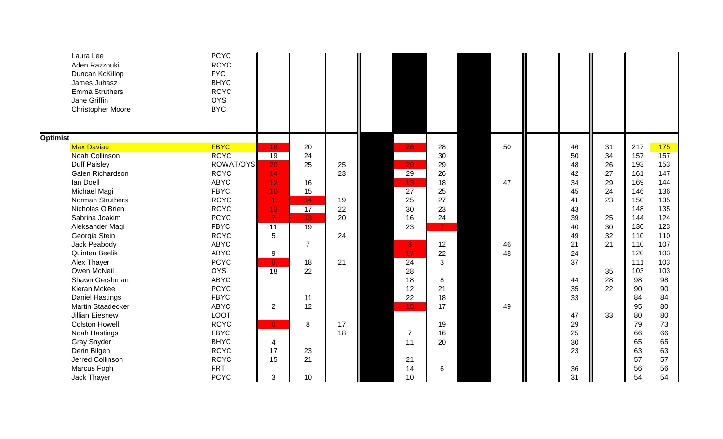| Laura Lee<br>Aden Razzouki<br>Duncan KcKillop<br>James Juhasz<br><b>Emma Struthers</b><br>Jane Griffin<br><b>Christopher Moore</b> | <b>PCYC</b><br><b>RCYC</b><br><b>FYC</b><br><b>BHYC</b><br><b>RCYC</b><br><b>OYS</b><br><b>BYC</b> |                      |                |    |                 |                |    |    |    |     |     |
|------------------------------------------------------------------------------------------------------------------------------------|----------------------------------------------------------------------------------------------------|----------------------|----------------|----|-----------------|----------------|----|----|----|-----|-----|
| <b>Optimist</b>                                                                                                                    |                                                                                                    |                      |                |    |                 |                |    |    |    |     |     |
| <b>Max Daviau</b>                                                                                                                  | <b>FBYC</b>                                                                                        | 16                   | 20             |    | 26              | 28             | 50 | 46 | 31 | 217 | 175 |
| Noah Collinson                                                                                                                     | <b>RCYC</b>                                                                                        | $\overline{19}$      | 24             |    |                 | 30             |    | 50 | 34 | 157 | 157 |
| <b>Duff Paisley</b>                                                                                                                | ROWAT/OYS                                                                                          | 20                   | 25             | 25 | 20              | 29             |    | 48 | 26 | 193 | 153 |
| Galen Richardson                                                                                                                   | <b>RCYC</b>                                                                                        | 14                   |                | 23 | 29              | 26             |    | 42 | 27 | 161 | 147 |
| lan Doell                                                                                                                          | <b>ABYC</b>                                                                                        | 12                   | 16             |    | 13              | 18             | 47 | 34 | 29 | 169 | 144 |
| Michael Magi                                                                                                                       | <b>FBYC</b>                                                                                        | 10                   | 15             |    | 27              | 25             |    | 45 | 24 | 146 | 136 |
| Norman Struthers                                                                                                                   | <b>RCYC</b>                                                                                        | $\blacktriangleleft$ | 14             | 19 | 25              | 27             |    | 41 | 23 | 150 | 135 |
| Nicholas O'Brien                                                                                                                   | <b>RCYC</b>                                                                                        | 13                   | 17             | 22 | 30              | 23             |    | 43 |    | 148 | 135 |
| Sabrina Joakim                                                                                                                     | <b>PCYC</b>                                                                                        | $\overline{7}$       | 13             | 20 | 16              | 24             |    | 39 | 25 | 144 | 124 |
| Aleksander Magi                                                                                                                    | <b>FBYC</b>                                                                                        | 11                   | 19             |    | 23              | 7 <sup>1</sup> |    | 40 | 30 | 130 | 123 |
| Georgia Stein                                                                                                                      | <b>RCYC</b>                                                                                        | 5                    |                | 24 |                 |                |    | 49 | 32 | 110 | 110 |
| Jack Peabody                                                                                                                       | <b>ABYC</b>                                                                                        |                      | $\overline{7}$ |    | 3               | 12             | 46 | 21 | 21 | 110 | 107 |
| <b>Quinten Beelik</b>                                                                                                              | <b>ABYC</b>                                                                                        | 9                    |                |    | 17              | 22             | 48 | 24 |    | 120 | 103 |
| Alex Thayer                                                                                                                        | <b>PCYC</b>                                                                                        | 8                    | 18             | 21 | $\overline{24}$ | 3              |    | 37 |    | 111 | 103 |
| Owen McNeil                                                                                                                        | <b>OYS</b>                                                                                         | $\overline{18}$      | 22             |    | 28              |                |    |    | 35 | 103 | 103 |
| Shawn Gershman                                                                                                                     | <b>ABYC</b>                                                                                        |                      |                |    | 18              | 8              |    | 44 | 28 | 98  | 98  |
| Kieran Mckee                                                                                                                       | <b>PCYC</b>                                                                                        |                      |                |    | 12              | 21             |    | 35 | 22 | 90  | 90  |
| <b>Daniel Hastings</b>                                                                                                             | <b>FBYC</b>                                                                                        |                      | 11             |    | 22              | 18             |    | 33 |    | 84  | 84  |
| Martin Staadecker                                                                                                                  | <b>ABYC</b>                                                                                        | $\overline{2}$       | 12             |    | 15              | 17             | 49 |    |    | 95  | 80  |
| <b>Jillian Eiesnew</b>                                                                                                             | <b>LOOT</b>                                                                                        |                      |                |    |                 |                |    | 47 | 33 | 80  | 80  |
| <b>Colston Howell</b>                                                                                                              | <b>RCYC</b>                                                                                        | 6 <sup>1</sup>       | 8              | 17 |                 | 19             |    | 29 |    | 79  | 73  |
| Noah Hastings                                                                                                                      | <b>FBYC</b>                                                                                        |                      |                | 18 | $\overline{7}$  | 16             |    | 25 |    | 66  | 66  |
| <b>Gray Snyder</b>                                                                                                                 | <b>BHYC</b>                                                                                        | 4                    |                |    | 11              | 20             |    | 30 |    | 65  | 65  |
| Derin Bilgen                                                                                                                       | <b>RCYC</b>                                                                                        | 17                   | 23             |    |                 |                |    | 23 |    | 63  | 63  |
| Jerred Collinson                                                                                                                   | <b>RCYC</b>                                                                                        | 15                   | 21             |    | 21              |                |    |    |    | 57  | 57  |
| Marcus Fogh                                                                                                                        | <b>FRT</b>                                                                                         |                      |                |    | 14              | 6              |    | 36 |    | 56  | 56  |
| Jack Thayer                                                                                                                        | <b>PCYC</b>                                                                                        | 3                    | 10             |    | 10              |                |    | 31 |    | 54  | 54  |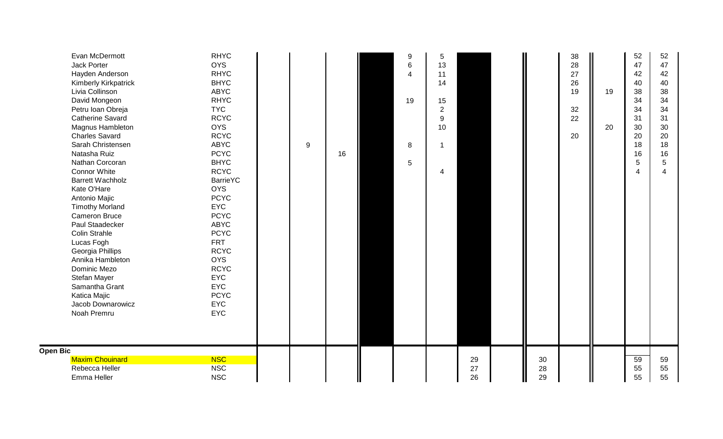| Evan McDermott<br>Jack Porter<br>Hayden Anderson<br><b>Kimberly Kirkpatrick</b><br>Livia Collinson<br>David Mongeon<br>Petru Ioan Obreja<br><b>Catherine Savard</b><br>Magnus Hambleton<br><b>Charles Savard</b><br>Sarah Christensen<br>Natasha Ruiz<br>Nathan Corcoran<br><b>Connor White</b><br><b>Barrett Wachholz</b><br>Kate O'Hare<br>Antonio Majic<br><b>Timothy Morland</b><br><b>Cameron Bruce</b><br>Paul Staadecker<br><b>Colin Strahle</b><br>Lucas Fogh<br>Georgia Phillips<br>Annika Hambleton<br>Dominic Mezo<br>Stefan Mayer<br>Samantha Grant<br>Katica Majic<br>Jacob Downarowicz<br>Noah Premru | <b>RHYC</b><br><b>OYS</b><br><b>RHYC</b><br><b>BHYC</b><br><b>ABYC</b><br><b>RHYC</b><br><b>TYC</b><br><b>RCYC</b><br><b>OYS</b><br><b>RCYC</b><br><b>ABYC</b><br><b>PCYC</b><br><b>BHYC</b><br><b>RCYC</b><br><b>BarrieYC</b><br><b>OYS</b><br><b>PCYC</b><br><b>EYC</b><br><b>PCYC</b><br><b>ABYC</b><br><b>PCYC</b><br><b>FRT</b><br><b>RCYC</b><br><b>OYS</b><br><b>RCYC</b><br><b>EYC</b><br><b>EYC</b><br><b>PCYC</b><br><b>EYC</b><br><b>EYC</b> | 9 | 16 | 9<br>6<br>19<br>8<br>5 | 5<br>13<br>11<br>14<br>15<br>$\overline{c}$<br>$\boldsymbol{9}$<br>10<br>1<br>4 |          |          | 38<br>28<br>27<br>26<br>19<br>32<br>22<br>20 | 19<br>20 | 52<br>47<br>42<br>40<br>38<br>34<br>34<br>31<br>30<br>20<br>18<br>16<br>5<br>$\boldsymbol{\Delta}$ | 52<br>47<br>42<br>40<br>38<br>34<br>34<br>31<br>30<br>20<br>18<br>16<br>5 |
|---------------------------------------------------------------------------------------------------------------------------------------------------------------------------------------------------------------------------------------------------------------------------------------------------------------------------------------------------------------------------------------------------------------------------------------------------------------------------------------------------------------------------------------------------------------------------------------------------------------------|---------------------------------------------------------------------------------------------------------------------------------------------------------------------------------------------------------------------------------------------------------------------------------------------------------------------------------------------------------------------------------------------------------------------------------------------------------|---|----|------------------------|---------------------------------------------------------------------------------|----------|----------|----------------------------------------------|----------|----------------------------------------------------------------------------------------------------|---------------------------------------------------------------------------|
| <b>Open Bic</b><br><b>Maxim Chouinard</b>                                                                                                                                                                                                                                                                                                                                                                                                                                                                                                                                                                           | <b>NSC</b>                                                                                                                                                                                                                                                                                                                                                                                                                                              |   |    |                        |                                                                                 | 29       | 30       |                                              |          | 59                                                                                                 | 59                                                                        |
| Rebecca Heller<br>Emma Heller                                                                                                                                                                                                                                                                                                                                                                                                                                                                                                                                                                                       | <b>NSC</b><br><b>NSC</b>                                                                                                                                                                                                                                                                                                                                                                                                                                |   |    |                        |                                                                                 | 27<br>26 | 28<br>29 |                                              |          | 55<br>55                                                                                           | 55<br>55                                                                  |